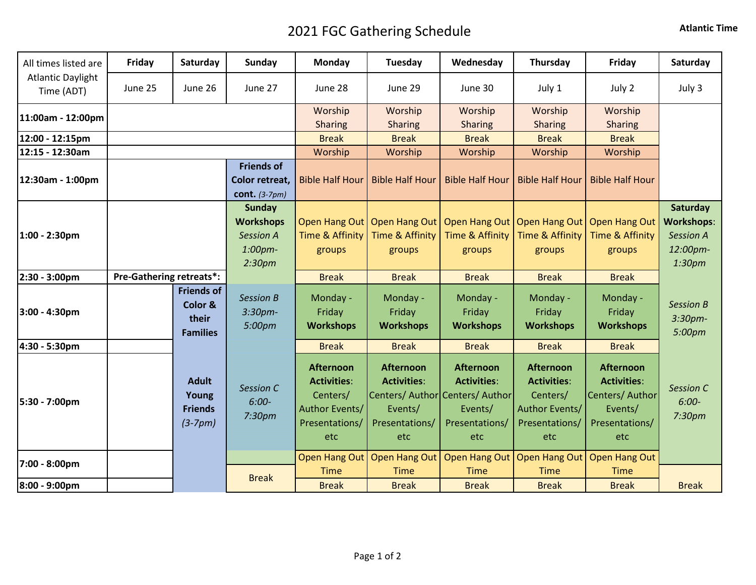## 2021 FGC Gathering Schedule **Atlantic Time**

| All times listed are                   | Friday  | Saturday                                                 | Sunday                                                                                    | Monday                                                                                 | Tuesday                                                                    | Wednesday                                                                                                     | Thursday                                                                                      | Friday                                                                                        | Saturday                                                                            |
|----------------------------------------|---------|----------------------------------------------------------|-------------------------------------------------------------------------------------------|----------------------------------------------------------------------------------------|----------------------------------------------------------------------------|---------------------------------------------------------------------------------------------------------------|-----------------------------------------------------------------------------------------------|-----------------------------------------------------------------------------------------------|-------------------------------------------------------------------------------------|
| <b>Atlantic Daylight</b><br>Time (ADT) | June 25 | June 26                                                  | June 27                                                                                   | June 28                                                                                | June 29                                                                    | June 30                                                                                                       | July 1                                                                                        | July 2                                                                                        | July 3                                                                              |
| 11:00am - 12:00pm                      |         |                                                          |                                                                                           | Worship<br><b>Sharing</b>                                                              | Worship<br><b>Sharing</b>                                                  | Worship<br><b>Sharing</b>                                                                                     | Worship<br><b>Sharing</b>                                                                     | Worship<br><b>Sharing</b>                                                                     |                                                                                     |
| 12:00 - 12:15pm                        |         |                                                          |                                                                                           | <b>Break</b>                                                                           | <b>Break</b>                                                               | <b>Break</b>                                                                                                  | <b>Break</b>                                                                                  | <b>Break</b>                                                                                  |                                                                                     |
| 12:15 - 12:30am                        |         |                                                          |                                                                                           | Worship                                                                                | Worship                                                                    | Worship                                                                                                       | Worship                                                                                       | Worship                                                                                       |                                                                                     |
| 12:30am - 1:00pm                       |         |                                                          | <b>Friends of</b><br>Color retreat,<br>cont. $(3-7pm)$                                    | <b>Bible Half Hour</b>                                                                 | <b>Bible Half Hour</b>                                                     | <b>Bible Half Hour</b>                                                                                        | <b>Bible Half Hour</b>                                                                        | <b>Bible Half Hour</b>                                                                        |                                                                                     |
| 1:00 - 2:30pm                          |         |                                                          | <b>Sunday</b><br><b>Workshops</b><br><b>Session A</b><br>$1:00$ pm-<br>2:30 <sub>pm</sub> | Time & Affinity<br>groups                                                              | Open Hang Out   Open Hang Out   Open Hang Out<br>Time & Affinity<br>groups | Time & Affinity<br>groups                                                                                     | Open Hang Out<br><b>Time &amp; Affinity</b><br>groups                                         | <b>Open Hang Out</b><br><b>Time &amp; Affinity</b><br>groups                                  | Saturday<br><b>Workshops:</b><br><b>Session A</b><br>12:00pm-<br>1:30 <sub>pm</sub> |
| 2:30 - 3:00pm                          |         | <b>Pre-Gathering retreats*:</b>                          |                                                                                           | <b>Break</b>                                                                           | <b>Break</b>                                                               | <b>Break</b>                                                                                                  | <b>Break</b>                                                                                  | <b>Break</b>                                                                                  |                                                                                     |
| 3:00 - 4:30pm                          |         | <b>Friends of</b><br>Color &<br>their<br><b>Families</b> | <b>Session B</b><br>$3:30$ pm-<br>5:00pm                                                  | Monday -<br>Friday<br><b>Workshops</b>                                                 | Monday -<br>Friday<br><b>Workshops</b>                                     | Monday -<br>Friday<br><b>Workshops</b>                                                                        | Monday -<br>Friday<br><b>Workshops</b>                                                        | Monday -<br>Friday<br><b>Workshops</b>                                                        | <b>Session B</b><br>3:30 <sub>pm</sub><br>5:00pm                                    |
| 4:30 - 5:30pm                          |         |                                                          |                                                                                           | <b>Break</b>                                                                           | <b>Break</b>                                                               | <b>Break</b>                                                                                                  | <b>Break</b>                                                                                  | <b>Break</b>                                                                                  |                                                                                     |
| 5:30 - 7:00pm                          |         | <b>Adult</b><br>Young<br><b>Friends</b><br>$(3-7pm)$     | <b>Session C</b><br>$6:00-$<br>7:30pm                                                     | Afternoon<br><b>Activities:</b><br>Centers/<br>Author Events/<br>Presentations/<br>etc | <b>Afternoon</b><br><b>Activities:</b><br>Events/<br>Presentations/<br>etc | <b>Afternoon</b><br><b>Activities:</b><br>Centers/ Author Centers/ Author<br>Events/<br>Presentations/<br>etc | <b>Afternoon</b><br><b>Activities:</b><br>Centers/<br>Author Events/<br>Presentations/<br>etc | <b>Afternoon</b><br><b>Activities:</b><br>Centers/ Author<br>Events/<br>Presentations/<br>etc | Session C<br>$6:00-$<br>7:30 <sub>pm</sub>                                          |
| 7:00 - 8:00pm                          |         |                                                          |                                                                                           |                                                                                        | Open Hang Out   Open Hang Out                                              | <b>Open Hang Out</b>                                                                                          | Open Hang Out                                                                                 | <b>Open Hang Out</b>                                                                          |                                                                                     |
| 8:00 - 9:00pm                          |         |                                                          | <b>Break</b>                                                                              | <b>Time</b><br><b>Break</b>                                                            | <b>Time</b><br><b>Break</b>                                                | <b>Time</b><br><b>Break</b>                                                                                   | <b>Time</b><br><b>Break</b>                                                                   | <b>Time</b><br><b>Break</b>                                                                   | <b>Break</b>                                                                        |